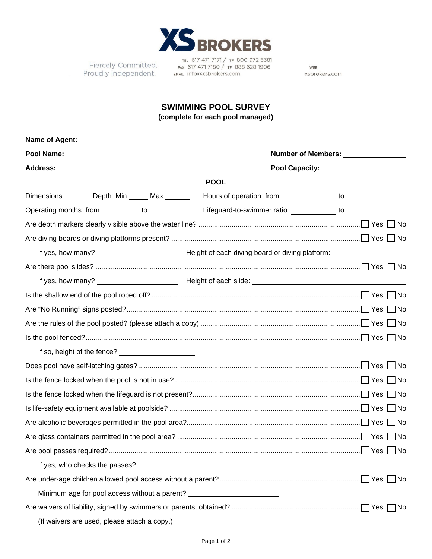

Fiercely Committed. Proudly Independent.

TEL 617 471 7171 / TF 800 972 5381<br>FAX 617 471 7180 / TF 888 628 1906 EMAIL info@xsbrokers.com

WEB xsbrokers.com

## **SWIMMING POOL SURVEY**

**(complete for each pool managed)**

|  |                                                   |  |                                                                                  | Number of Members: ________________<br>Pool Capacity: ________________________ |                                                               |
|--|---------------------------------------------------|--|----------------------------------------------------------------------------------|--------------------------------------------------------------------------------|---------------------------------------------------------------|
|  |                                                   |  |                                                                                  |                                                                                |                                                               |
|  | Dimensions ________ Depth: Min ______ Max _______ |  |                                                                                  |                                                                                |                                                               |
|  | Operating months: from ___________ to __________  |  |                                                                                  |                                                                                | Lifeguard-to-swimmer ratio: _____________ to ________________ |
|  |                                                   |  |                                                                                  |                                                                                |                                                               |
|  |                                                   |  |                                                                                  |                                                                                |                                                               |
|  |                                                   |  |                                                                                  |                                                                                |                                                               |
|  |                                                   |  |                                                                                  |                                                                                |                                                               |
|  |                                                   |  |                                                                                  |                                                                                |                                                               |
|  |                                                   |  |                                                                                  |                                                                                |                                                               |
|  |                                                   |  |                                                                                  |                                                                                |                                                               |
|  |                                                   |  |                                                                                  |                                                                                |                                                               |
|  |                                                   |  |                                                                                  |                                                                                |                                                               |
|  |                                                   |  |                                                                                  |                                                                                |                                                               |
|  |                                                   |  |                                                                                  |                                                                                |                                                               |
|  |                                                   |  |                                                                                  |                                                                                |                                                               |
|  |                                                   |  |                                                                                  |                                                                                |                                                               |
|  |                                                   |  |                                                                                  |                                                                                |                                                               |
|  |                                                   |  |                                                                                  |                                                                                |                                                               |
|  |                                                   |  |                                                                                  |                                                                                |                                                               |
|  |                                                   |  |                                                                                  |                                                                                |                                                               |
|  |                                                   |  |                                                                                  |                                                                                |                                                               |
|  |                                                   |  |                                                                                  |                                                                                |                                                               |
|  |                                                   |  | Minimum age for pool access without a parent? __________________________________ |                                                                                |                                                               |
|  |                                                   |  |                                                                                  |                                                                                |                                                               |
|  | (If waivers are used, please attach a copy.)      |  |                                                                                  |                                                                                |                                                               |